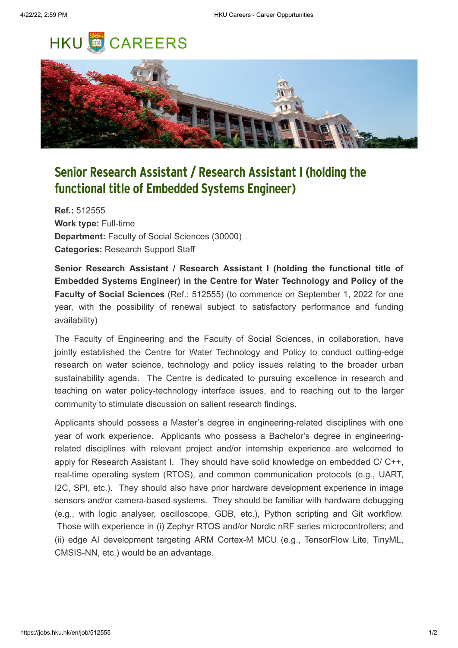## **HKU CAREERS**



## **Senior Research Assistant / Research Assistant I (holding the functional title of Embedded Systems Engineer)**

**Ref.:** 512555 **Work type:** Full-time **Department:** Faculty of Social Sciences (30000) **Categories:** Research Support Staff

**Senior Research Assistant / Research Assistant I (holding the functional title of Embedded Systems Engineer) in the Centre for Water Technology and Policy of the Faculty of Social Sciences** (Ref.: 512555) (to commence on September 1, 2022 for one year, with the possibility of renewal subject to satisfactory performance and funding availability)

The Faculty of Engineering and the Faculty of Social Sciences, in collaboration, have jointly established the Centre for Water Technology and Policy to conduct cutting-edge research on water science, technology and policy issues relating to the broader urban sustainability agenda. The Centre is dedicated to pursuing excellence in research and teaching on water policy-technology interface issues, and to reaching out to the larger community to stimulate discussion on salient research findings.

Applicants should possess a Master's degree in engineering-related disciplines with one year of work experience. Applicants who possess a Bachelor's degree in engineeringrelated disciplines with relevant project and/or internship experience are welcomed to apply for Research Assistant I. They should have solid knowledge on embedded C/ C++, real-time operating system (RTOS), and common communication protocols (e.g., UART, I2C, SPI, etc.). They should also have prior hardware development experience in image sensors and/or camera-based systems. They should be familiar with hardware debugging (e.g., with logic analyser, oscilloscope, GDB, etc.), Python scripting and Git workflow. Those with experience in (i) Zephyr RTOS and/or Nordic nRF series microcontrollers; and (ii) edge AI development targeting ARM Cortex-M MCU (e.g., TensorFlow Lite, TinyML, CMSIS-NN, etc.) would be an advantage.